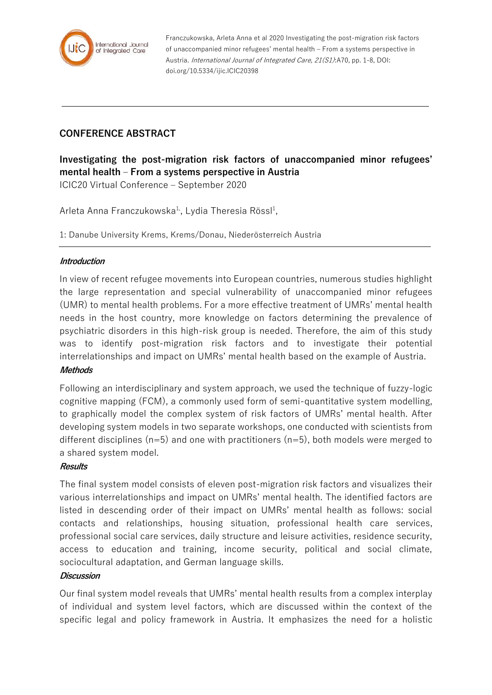

Franczukowska, Arleta Anna et al 2020 Investigating the post-migration risk factors of unaccompanied minor refugees' mental health – From a systems perspective in Austria. International Journal of Integrated Care, 21(S1):A70, pp. 1-8, DOI: doi.org/10.5334/ijic.ICIC20398

# **CONFERENCE ABSTRACT**

**Investigating the post-migration risk factors of unaccompanied minor refugees' mental health – From a systems perspective in Austria** ICIC20 Virtual Conference – September 2020

Arleta Anna Franczukowska $^{1}$ , Lydia Theresia Rössl $^{1}$ ,

1: Danube University Krems, Krems/Donau, Niederösterreich Austria

## **Introduction**

In view of recent refugee movements into European countries, numerous studies highlight the large representation and special vulnerability of unaccompanied minor refugees (UMR) to mental health problems. For a more effective treatment of UMRs' mental health needs in the host country, more knowledge on factors determining the prevalence of psychiatric disorders in this high-risk group is needed. Therefore, the aim of this study was to identify post-migration risk factors and to investigate their potential interrelationships and impact on UMRs' mental health based on the example of Austria.

#### **Methods**

Following an interdisciplinary and system approach, we used the technique of fuzzy-logic cognitive mapping (FCM), a commonly used form of semi-quantitative system modelling, to graphically model the complex system of risk factors of UMRs' mental health. After developing system models in two separate workshops, one conducted with scientists from different disciplines ( $n=5$ ) and one with practitioners ( $n=5$ ), both models were merged to a shared system model.

#### **Results**

The final system model consists of eleven post-migration risk factors and visualizes their various interrelationships and impact on UMRs' mental health. The identified factors are listed in descending order of their impact on UMRs' mental health as follows: social contacts and relationships, housing situation, professional health care services, professional social care services, daily structure and leisure activities, residence security, access to education and training, income security, political and social climate, sociocultural adaptation, and German language skills.

#### **Discussion**

Our final system model reveals that UMRs' mental health results from a complex interplay of individual and system level factors, which are discussed within the context of the specific legal and policy framework in Austria. It emphasizes the need for a holistic